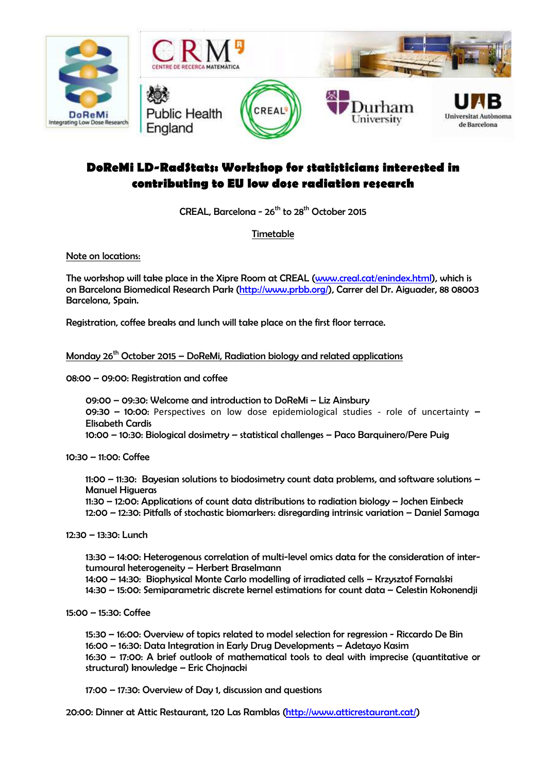

## **DoReMi LD-RadStats: Workshop for statisticians interested in contributing to EU low dose radiation research**

CREAL, Barcelona -  $26^{th}$  to  $28^{th}$  October 2015

Timetable

Note on locations:

The workshop will take place in the Xipre Room at CREAL (www.creal.cat/enindex.html), which is on Barcelona Biomedical Research Park (http://www.prbb.org/), Carrer del Dr. Aiguader, 88 08003 Barcelona, Spain.

Registration, coffee breaks and lunch will take place on the first floor terrace.

Monday  $26<sup>th</sup>$  October 2015 – DoReMi, Radiation biology and related applications

08:00 – 09:00: Registration and coffee

09:00 – 09:30: Welcome and introduction to DoReMi – Liz Ainsbury 09:30 - 10:00: Perspectives on low dose epidemiological studies - role of uncertainty -Elisabeth Cardis 10:00 – 10:30: Biological dosimetry – statistical challenges – Paco Barquinero/Pere Puig

10:30 – 11:00: Coffee

11:00 – 11:30: Bayesian solutions to biodosimetry count data problems, and software solutions – Manuel Higueras

 11:30 – 12:00: Applications of count data distributions to radiation biology – Jochen Einbeck 12:00 – 12:30: Pitfalls of stochastic biomarkers: disregarding intrinsic variation – Daniel Samaga

12:30 – 13:30: Lunch

13:30 – 14:00: Heterogenous correlation of multi-level omics data for the consideration of intertumoural heterogeneity – Herbert Braselmann

14:00 – 14:30: Biophysical Monte Carlo modelling of irradiated cells – Krzysztof Fornalski 14:30 – 15:00: Semiparametric discrete kernel estimations for count data – Celestin Kokonendji

15:00 – 15:30: Coffee

15:30 – 16:00: Overview of topics related to model selection for regression - Riccardo De Bin 16:00 – 16:30: Data Integration in Early Drug Developments – Adetayo Kasim 16:30 – 17:00: A brief outlook of mathematical tools to deal with imprecise (quantitative or structural) knowledge – Eric Chojnacki

17:00 – 17:30: Overview of Day 1, discussion and questions

20:00: Dinner at Attic Restaurant, 120 Las Ramblas (http://www.atticrestaurant.cat/)